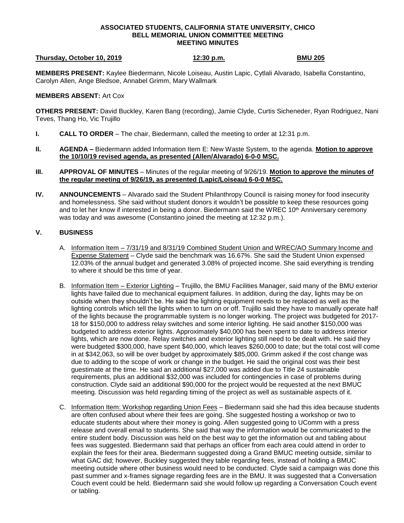## **ASSOCIATED STUDENTS, CALIFORNIA STATE UNIVERSITY, CHICO BELL MEMORIAL UNION COMMITTEE MEETING MEETING MINUTES**

## **Thursday, October 10, 2019 12:30 p.m. BMU 205**

**MEMBERS PRESENT:** Kaylee Biedermann, Nicole Loiseau, Austin Lapic, Cytlali Alvarado, Isabella Constantino, Carolyn Allen, Ange Bledsoe, Annabel Grimm, Mary Wallmark

## **MEMBERS ABSENT:** Art Cox

**OTHERS PRESENT:** David Buckley, Karen Bang (recording), Jamie Clyde, Curtis Sicheneder, Ryan Rodriguez, Nani Teves, Thang Ho, Vic Trujillo

- **I. CALL TO ORDER**  The chair, Biedermann, called the meeting to order at 12:31 p.m.
- **II. AGENDA –** Biedermann added Information Item E: New Waste System, to the agenda. **Motion to approve the 10/10/19 revised agenda, as presented (Allen/Alvarado) 6-0-0 MSC.**
- **III. APPROVAL OF MINUTES** Minutes of the regular meeting of 9/26/19. **Motion to approve the minutes of the regular meeting of 9/26/19, as presented (Lapic/Loiseau) 6-0-0 MSC.**
- **IV. ANNOUNCEMENTS** Alvarado said the Student Philanthropy Council is raising money for food insecurity and homelessness. She said without student donors it wouldn't be possible to keep these resources going and to let her know if interested in being a donor. Biedermann said the WREC 10<sup>th</sup> Anniversary ceremony was today and was awesome (Constantino joined the meeting at 12:32 p.m.).

## **V. BUSINESS**

- A. Information Item 7/31/19 and 8/31/19 Combined Student Union and WREC/AO Summary Income and Expense Statement – Clyde said the benchmark was 16.67%. She said the Student Union expensed 12.03% of the annual budget and generated 3.08% of projected income. She said everything is trending to where it should be this time of year.
- B. Information Item Exterior Lighting Trujillo, the BMU Facilities Manager, said many of the BMU exterior lights have failed due to mechanical equipment failures. In addition, during the day, lights may be on outside when they shouldn't be. He said the lighting equipment needs to be replaced as well as the lighting controls which tell the lights when to turn on or off. Trujillo said they have to manually operate half of the lights because the programmable system is no longer working. The project was budgeted for 2017- 18 for \$150,000 to address relay switches and some interior lighting. He said another \$150,000 was budgeted to address exterior lights. Approximately \$40,000 has been spent to date to address interior lights, which are now done. Relay switches and exterior lighting still need to be dealt with. He said they were budgeted \$300,000, have spent \$40,000, which leaves \$260,000 to date; but the total cost will come in at \$342,063, so will be over budget by approximately \$85,000. Grimm asked if the cost change was due to adding to the scope of work or change in the budget. He said the original cost was their best guestimate at the time. He said an additional \$27,000 was added due to Title 24 sustainable requirements, plus an additional \$32,000 was included for contingencies in case of problems during construction. Clyde said an additional \$90,000 for the project would be requested at the next BMUC meeting. Discussion was held regarding timing of the project as well as sustainable aspects of it.
- C. Information Item: Workshop regarding Union Fees Biedermann said she had this idea because students are often confused about where their fees are going. She suggested hosting a workshop or two to educate students about where their money is going. Allen suggested going to UComm with a press release and overall email to students. She said that way the information would be communicated to the entire student body. Discussion was held on the best way to get the information out and tabling about fees was suggested. Biedermann said that perhaps an officer from each area could attend in order to explain the fees for their area. Biedermann suggested doing a Grand BMUC meeting outside, similar to what GAC did; however, Buckley suggested they table regarding fees, instead of holding a BMUC meeting outside where other business would need to be conducted. Clyde said a campaign was done this past summer and x-frames signage regarding fees are in the BMU. It was suggested that a Conversation Couch event could be held. Biedermann said she would follow up regarding a Conversation Couch event or tabling.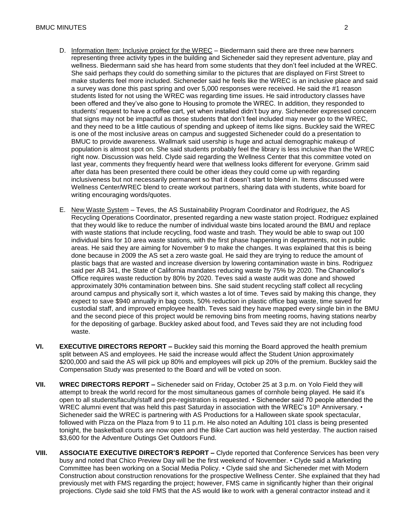- D. Information Item: Inclusive project for the WREC Biedermann said there are three new banners representing three activity types in the building and Sicheneder said they represent adventure, play and wellness. Biedermann said she has heard from some students that they don't feel included at the WREC. She said perhaps they could do something similar to the pictures that are displayed on First Street to make students feel more included. Sicheneder said he feels like the WREC is an inclusive place and said a survey was done this past spring and over 5,000 responses were received. He said the #1 reason students listed for not using the WREC was regarding time issues. He said introductory classes have been offered and they've also gone to Housing to promote the WREC. In addition, they responded to students' request to have a coffee cart, yet when installed didn't buy any. Sicheneder expressed concern that signs may not be impactful as those students that don't feel included may never go to the WREC, and they need to be a little cautious of spending and upkeep of items like signs. Buckley said the WREC is one of the most inclusive areas on campus and suggested Sicheneder could do a presentation to BMUC to provide awareness. Wallmark said usership is huge and actual demographic makeup of population is almost spot on. She said students probably feel the library is less inclusive than the WREC right now. Discussion was held. Clyde said regarding the Wellness Center that this committee voted on last year, comments they frequently heard were that wellness looks different for everyone. Grimm said after data has been presented there could be other ideas they could come up with regarding inclusiveness but not necessarily permanent so that it doesn't start to blend in. Items discussed were Wellness Center/WREC blend to create workout partners, sharing data with students, white board for writing encouraging words/quotes.
- E. New Waste System Teves, the AS Sustainability Program Coordinator and Rodriguez, the AS Recycling Operations Coordinator, presented regarding a new waste station project. Rodriguez explained that they would like to reduce the number of individual waste bins located around the BMU and replace with waste stations that include recycling, food waste and trash. They would be able to swap out 100 individual bins for 10 area waste stations, with the first phase happening in departments, not in public areas. He said they are aiming for November 9 to make the changes. It was explained that this is being done because in 2009 the AS set a zero waste goal. He said they are trying to reduce the amount of plastic bags that are wasted and increase diversion by lowering contamination waste in bins. Rodriguez said per AB 341, the State of California mandates reducing waste by 75% by 2020. The Chancellor's Office requires waste reduction by 80% by 2020. Teves said a waste audit was done and showed approximately 30% contamination between bins. She said student recycling staff collect all recycling around campus and physically sort it, which wastes a lot of time. Teves said by making this change, they expect to save \$940 annually in bag costs, 50% reduction in plastic office bag waste, time saved for custodial staff, and improved employee health. Teves said they have mapped every single bin in the BMU and the second piece of this project would be removing bins from meeting rooms, having stations nearby for the depositing of garbage. Buckley asked about food, and Teves said they are not including food waste.
- **VI. EXECUTIVE DIRECTORS REPORT –** Buckley said this morning the Board approved the health premium split between AS and employees. He said the increase would affect the Student Union approximately \$200,000 and said the AS will pick up 80% and employees will pick up 20% of the premium. Buckley said the Compensation Study was presented to the Board and will be voted on soon.
- **VII. WREC DIRECTORS REPORT –** Sicheneder said on Friday, October 25 at 3 p.m. on Yolo Field they will attempt to break the world record for the most simultaneous games of cornhole being played. He said it's open to all students/faculty/staff and pre-registration is requested. • Sicheneder said 70 people attended the WREC alumni event that was held this past Saturday in association with the WREC's 10<sup>th</sup> Anniversary.  $\cdot$ Sicheneder said the WREC is partnering with AS Productions for a Halloween skate spook spectacular, followed with Pizza on the Plaza from 9 to 11 p.m. He also noted an Adulting 101 class is being presented tonight, the basketball courts are now open and the Bike Cart auction was held yesterday. The auction raised \$3,600 for the Adventure Outings Get Outdoors Fund.
- **VIII. ASSOCIATE EXECUTIVE DIRECTOR'S REPORT –** Clyde reported that Conference Services has been very busy and noted that Chico Preview Day will be the first weekend of November. • Clyde said a Marketing Committee has been working on a Social Media Policy. • Clyde said she and Sicheneder met with Modern Construction about construction renovations for the prospective Wellness Center. She explained that they had previously met with FMS regarding the project; however, FMS came in significantly higher than their original projections. Clyde said she told FMS that the AS would like to work with a general contractor instead and it